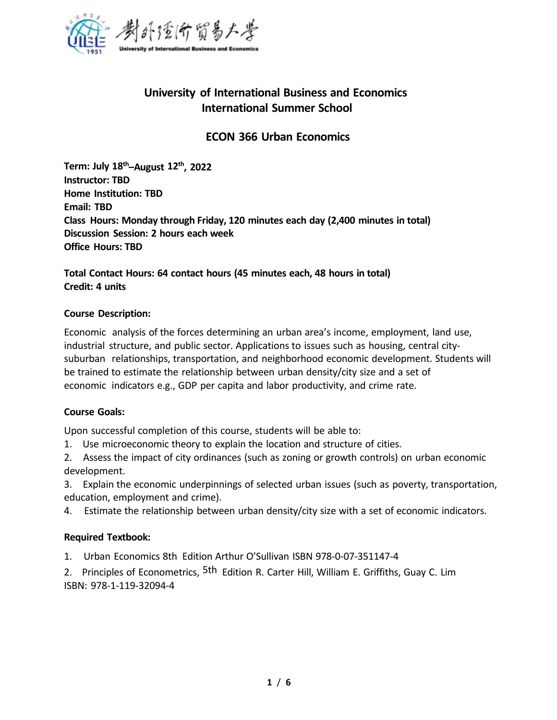

# **University of International Business and Economics International Summer School**

## **ECON 366 Urban Economics**

**Term: July 18 th–August 12 th , 2022 Instructor: TBD Home Institution: TBD Email: TBD Class Hours: Monday through Friday, 120 minutes each day (2,400 minutes in total) Discussion Session: 2 hours each week Office Hours: TBD**

## **Total Contact Hours: 64 contact hours (45 minutes each, 48 hours in total) Credit: 4 units**

#### **Course Description:**

Economic analysis of the forces determining an urban area's income, employment, land use, industrial structure, and public sector. Applications to issues such as housing, central city suburban relationships, transportation, and neighborhood economic development. Students will be trained to estimate the relationship between urban density/city size and a set of economic indicators e.g., GDP per capita and labor productivity, and crime rate.

### **Course Goals:**

Upon successful completion of this course, students will be able to:

1. Use microeconomic theory to explain the location and structure of cities.

2. Assess the impact of city ordinances (such as zoning or growth controls) on urban economic development.

3. Explain the economic underpinnings of selected urban issues (such as poverty, transportation, education, employment and crime).

4. Estimate the relationship between urban density/city size with a set of economic indicators.

#### **Required Textbook:**

1. Urban Economics 8th Edition Arthur O'Sullivan ISBN 978-0-07-351147-4

2. Principles of Econometrics, <sup>5th</sup> Edition R. Carter Hill, William E. Griffiths, Guay C. Lim ISBN: 978-1-119-32094-4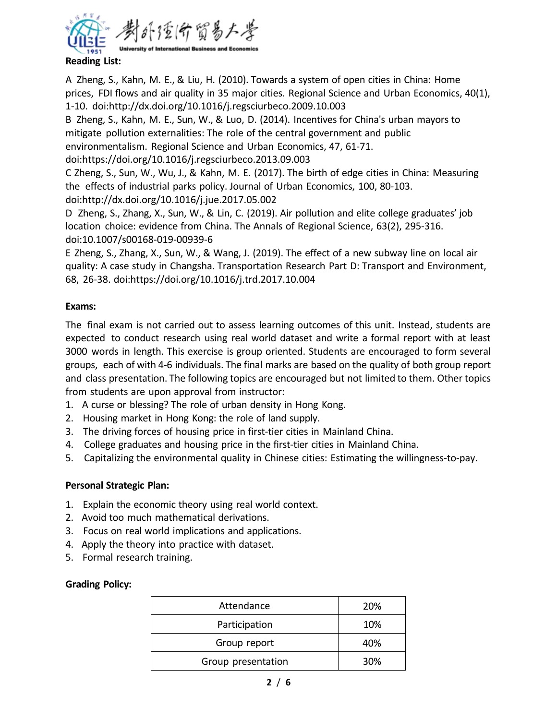

**Reading List:**

A Zheng, S., Kahn, M. E., & Liu, H. (2010). Towards a system of open cities in China: Home prices, FDI flows and air quality in 35 major cities. Regional Science and Urban Economics, 40(1), 1-10. doi:http://dx.doi.org/10.1016/j.regsciurbeco.2009.10.003

B Zheng, S., Kahn, M. E., Sun, W., & Luo, D. (2014). Incentives for China's urban mayors to mitigate pollution externalities: The role of the central government and public environmentalism. Regional Science and Urban Economics, 47, 61-71.

doi:https://doi.org/10.1016/j.regsciurbeco.2013.09.003

C Zheng, S., Sun, W., Wu, J., & Kahn, M. E. (2017). The birth of edge cities in China: Measuring the effects of industrial parks policy. Journal of Urban Economics, 100, 80-103.

doi:http://dx.doi.org/10.1016/j.jue.2017.05.002

D Zheng, S., Zhang, X., Sun, W., & Lin, C. (2019). Air pollution and elite college graduates' job location choice: evidence from China. The Annals of Regional Science, 63(2), 295-316. doi:10.1007/s00168-019-00939-6

E Zheng, S., Zhang, X., Sun, W., & Wang, J. (2019). The effect ofa new subway line on local air quality: A case study in Changsha. Transportation Research Part D: Transport and Environment, 68, 26-38. doi:https://doi.org/10.1016/j.trd.2017.10.004

## **Exams:**

The final exam is not carried out to assess learning outcomes of this unit. Instead, students are expected to conduct research using real world dataset and write a formal report with at least 3000 words in length. This exercise is group oriented. Students are encouraged to form several groups, each of with 4-6 individuals. The final marks are based on the quality of both group report and class presentation. The following topics are encouraged but not limited to them. Other topics from students are upon approval from instructor:

- 1. A curse or blessing? The role of urban density in Hong Kong.
- 2. Housing market in Hong Kong: the role of land supply.
- 3. The driving forces of housing price in first-tier cities in Mainland China.
- 4. College graduates and housing price in the first-tier cities in Mainland China.
- 5. Capitalizing the environmental quality in Chinese cities: Estimating the willingness-to-pay.

## **Personal Strategic Plan:**

- 1. Explain the economic theory using real world context.
- 2. Avoid too much mathematical derivations.
- 3. Focus on real world implications and applications.
- 4. Apply the theory into practice with dataset.
- 5. Formal research training.

### **Grading Policy:**

| Attendance         | 20% |
|--------------------|-----|
| Participation      | 10% |
| Group report       | 40% |
| Group presentation | 30% |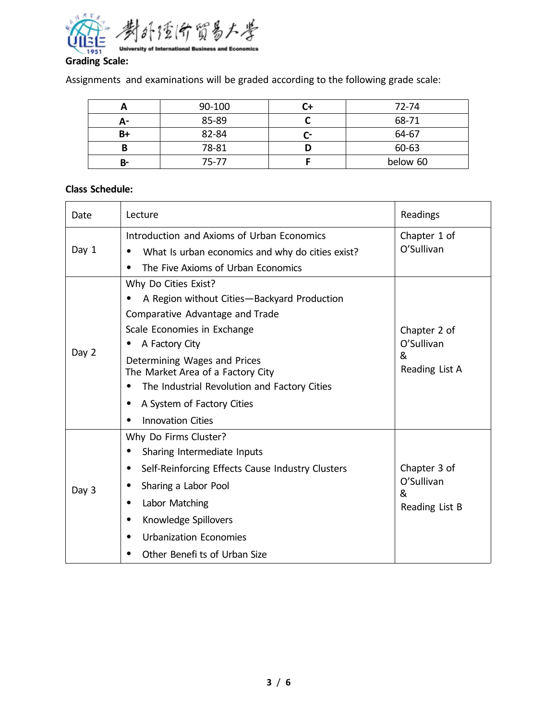

Assignments and examinations will be graded according to the following grade scale:

|    | 90-100    |   | 72-74    |
|----|-----------|---|----------|
| А- | 85-89     |   | 68-71    |
| B+ | 82-84     | - | 64-67    |
| D  | 78-81     |   | 60-63    |
| B- | $75 - 77$ |   | below 60 |

## **Class Schedule:**

| Date  | Lecture                                                                                | Readings        |
|-------|----------------------------------------------------------------------------------------|-----------------|
| Day 1 | Introduction and Axioms of Urban Economics                                             | Chapter 1 of    |
|       | What Is urban economics and why do cities exist?<br>٠                                  | O'Sullivan      |
|       | The Five Axioms of Urban Economics<br>٠                                                |                 |
|       | Why Do Cities Exist?                                                                   |                 |
|       | A Region without Cities-Backyard Production<br>$\bullet$                               |                 |
|       | Comparative Advantage and Trade                                                        |                 |
| Day 2 | Scale Economies in Exchange                                                            | Chapter 2 of    |
|       | A Factory City                                                                         | O'Sullivan<br>& |
|       | Determining Wages and Prices                                                           | Reading List A  |
|       | The Market Area of a Factory City<br>The Industrial Revolution and Factory Cities<br>٠ |                 |
|       | A System of Factory Cities<br>٠                                                        |                 |
|       | <b>Innovation Cities</b>                                                               |                 |
|       | Why Do Firms Cluster?                                                                  |                 |
|       | Sharing Intermediate Inputs<br>٠                                                       |                 |
| Day 3 | Self-Reinforcing Effects Cause Industry Clusters<br>٠                                  | Chapter 3 of    |
|       | Sharing a Labor Pool<br>٠                                                              | O'Sullivan<br>& |
|       | Labor Matching                                                                         | Reading List B  |
|       | Knowledge Spillovers<br>٠                                                              |                 |
|       | <b>Urbanization Economies</b><br>$\bullet$                                             |                 |
|       | Other Benefi ts of Urban Size                                                          |                 |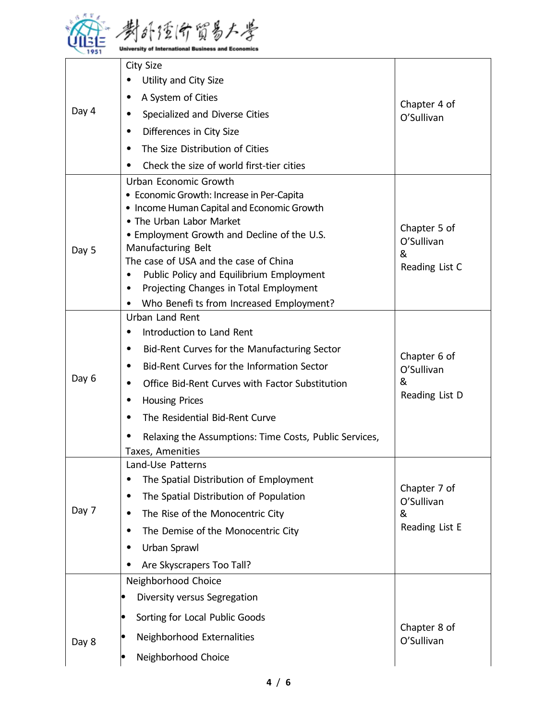

| Day 4 | <b>City Size</b><br>Utility and City Size<br>A System of Cities<br>Specialized and Diverse Cities<br>Differences in City Size<br>٠<br>The Size Distribution of Cities<br>Check the size of world first-tier cities<br>٠                                                                                                                                                                      | Chapter 4 of<br>O'Sullivan                        |
|-------|----------------------------------------------------------------------------------------------------------------------------------------------------------------------------------------------------------------------------------------------------------------------------------------------------------------------------------------------------------------------------------------------|---------------------------------------------------|
| Day 5 | Urban Economic Growth<br>• Economic Growth: Increase in Per-Capita<br>• Income Human Capital and Economic Growth<br>• The Urban Labor Market<br>. Employment Growth and Decline of the U.S.<br>Manufacturing Belt<br>The case of USA and the case of China<br>Public Policy and Equilibrium Employment<br>Projecting Changes in Total Employment<br>Who Benefi ts from Increased Employment? | Chapter 5 of<br>O'Sullivan<br>&<br>Reading List C |
| Day 6 | Urban Land Rent<br>Introduction to Land Rent<br>Bid-Rent Curves for the Manufacturing Sector<br>Bid-Rent Curves for the Information Sector<br>Office Bid-Rent Curves with Factor Substitution<br><b>Housing Prices</b><br>The Residential Bid-Rent Curve<br>Relaxing the Assumptions: Time Costs, Public Services,<br>Taxes, Amenities                                                       | Chapter 6 of<br>O'Sullivan<br>&<br>Reading List D |
| Day 7 | Land-Use Patterns<br>The Spatial Distribution of Employment<br>The Spatial Distribution of Population<br>٠<br>The Rise of the Monocentric City<br>The Demise of the Monocentric City<br>Urban Sprawl<br>Are Skyscrapers Too Tall?                                                                                                                                                            | Chapter 7 of<br>O'Sullivan<br>&<br>Reading List E |
| Day 8 | Neighborhood Choice<br>Diversity versus Segregation<br>Sorting for Local Public Goods<br>lo<br>Neighborhood Externalities<br>Neighborhood Choice                                                                                                                                                                                                                                             | Chapter 8 of<br>O'Sullivan                        |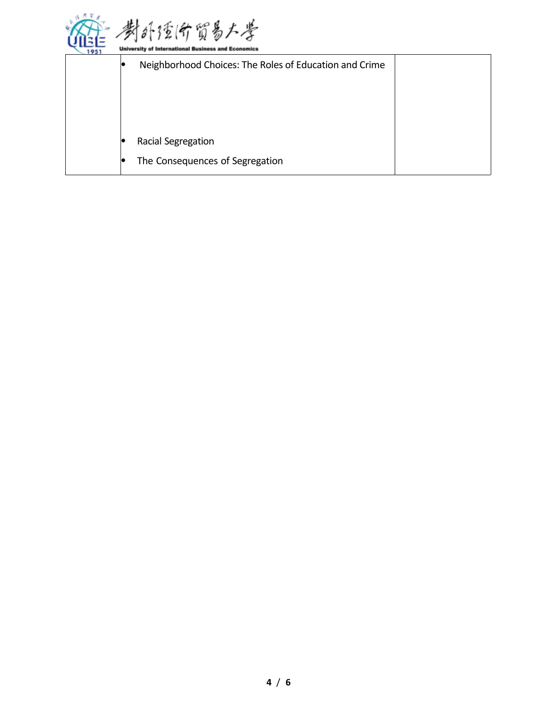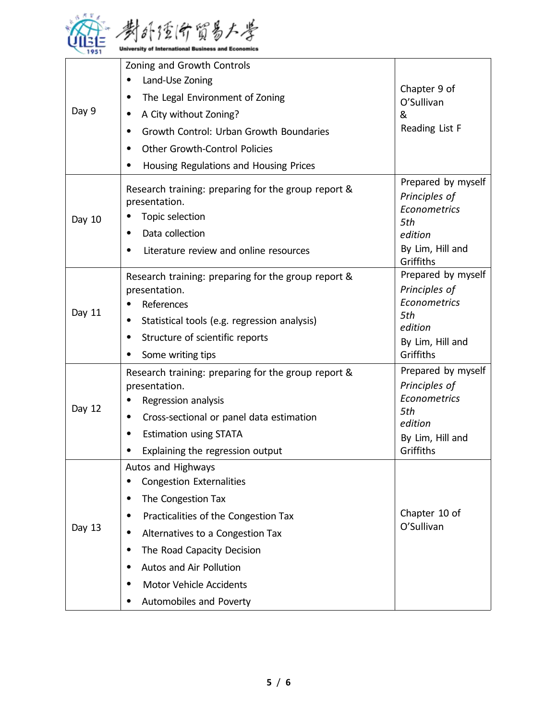

|        | Zoning and Growth Controls                                           |                                     |
|--------|----------------------------------------------------------------------|-------------------------------------|
| Day 9  | Land-Use Zoning                                                      | Chapter 9 of                        |
|        | The Legal Environment of Zoning                                      | O'Sullivan                          |
|        | A City without Zoning?                                               | &                                   |
|        | Growth Control: Urban Growth Boundaries<br>$\bullet$                 | Reading List F                      |
|        | Other Growth-Control Policies                                        |                                     |
|        | Housing Regulations and Housing Prices                               |                                     |
|        | Research training: preparing for the group report &                  | Prepared by myself                  |
|        | presentation.                                                        | Principles of                       |
| Day 10 | Topic selection                                                      | Econometrics<br>5th                 |
|        | Data collection                                                      | edition                             |
|        | Literature review and online resources                               | By Lim, Hill and<br>Griffiths       |
|        | Research training: preparing for the group report &                  | Prepared by myself                  |
|        | presentation.                                                        | Principles of<br>Econometrics       |
| Day 11 | References                                                           | 5th                                 |
|        | Statistical tools (e.g. regression analysis)                         | edition                             |
|        | Structure of scientific reports                                      | By Lim, Hill and                    |
|        | Some writing tips                                                    | Griffiths                           |
|        | Research training: preparing for the group report &<br>presentation. | Prepared by myself<br>Principles of |
|        | Regression analysis                                                  | Econometrics                        |
| Day 12 | Cross-sectional or panel data estimation                             | 5th                                 |
|        | <b>Estimation using STATA</b>                                        | edition                             |
|        | Explaining the regression output                                     | By Lim, Hill and<br>Griffiths       |
|        | Autos and Highways                                                   |                                     |
|        | <b>Congestion Externalities</b>                                      |                                     |
| Day 13 | The Congestion Tax<br>٠                                              |                                     |
|        | Practicalities of the Congestion Tax<br>$\bullet$                    | Chapter 10 of                       |
|        | Alternatives to a Congestion Tax<br>$\bullet$                        | O'Sullivan                          |
|        | The Road Capacity Decision<br>$\bullet$                              |                                     |
|        | Autos and Air Pollution<br>٠                                         |                                     |
|        | <b>Motor Vehicle Accidents</b><br>$\bullet$                          |                                     |
|        | Automobiles and Poverty<br>٠                                         |                                     |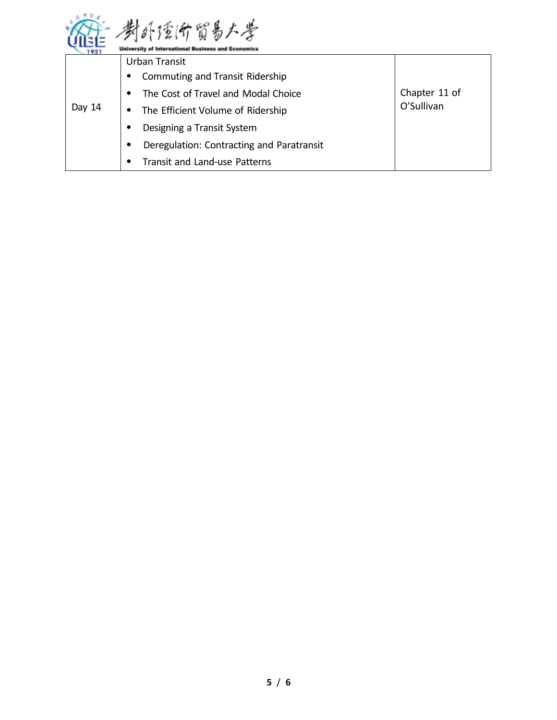

| 1951   | <b>University of International Business and Economics</b> |                             |
|--------|-----------------------------------------------------------|-----------------------------|
| Day 14 | Urban Transit                                             |                             |
|        | Commuting and Transit Ridership<br>$\bullet$              |                             |
|        | The Cost of Travel and Modal Choice                       | Chapter 11 of<br>O'Sullivan |
|        | The Efficient Volume of Ridership<br>٠                    |                             |
|        | Designing a Transit System                                |                             |
|        | Deregulation: Contracting and Paratransit<br>$\bullet$    |                             |
|        | Transit and Land-use Patterns                             |                             |